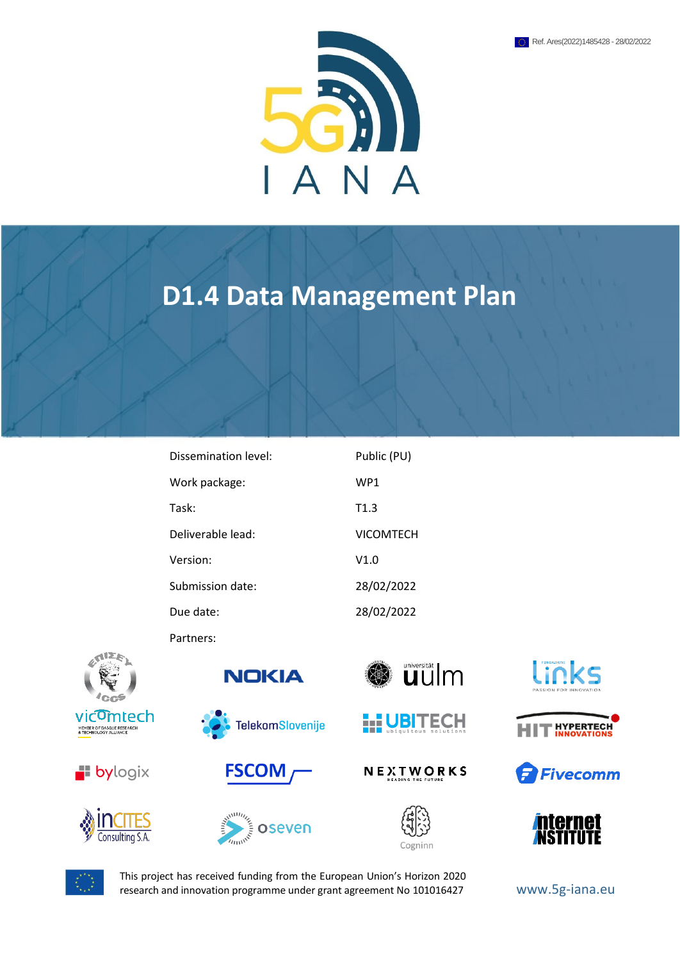

# **D1.4 Data Management Plan**

| Dissemination level: | Public (PU)      |
|----------------------|------------------|
| Work package:        | WP <sub>1</sub>  |
| Task:                | T1.3             |
| Deliverable lead:    | <b>VICOMTECH</b> |
| Version:             | V1.0             |
| Submission date:     | 28/02/2022       |
| Due date:            | 28/02/2022       |

Partners:





















NEXTWORKS













This project has received funding from the European Union's Horizon 2020 research and innovation programme under grant agreement No 101016427 www.5g-iana.eu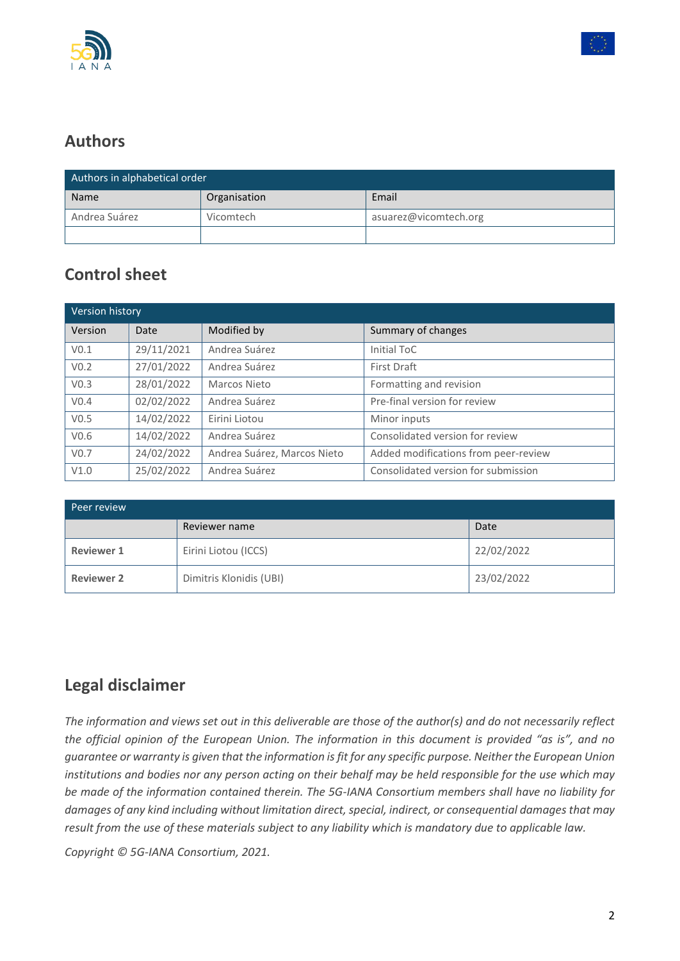



# **Authors**

| Authors in alphabetical order |              |                       |
|-------------------------------|--------------|-----------------------|
| <b>Name</b>                   | Organisation | Email                 |
| Andrea Suárez                 | Vicomtech    | asuarez@vicomtech.org |
|                               |              |                       |

# **Control sheet**

| Version history  |            |                             |                                      |
|------------------|------------|-----------------------------|--------------------------------------|
| Version          | Date       | Modified by                 | Summary of changes                   |
| V <sub>0.1</sub> | 29/11/2021 | Andrea Suárez               | Initial ToC                          |
| V <sub>0.2</sub> | 27/01/2022 | Andrea Suárez               | First Draft                          |
| V <sub>0.3</sub> | 28/01/2022 | Marcos Nieto                | Formatting and revision              |
| V <sub>0.4</sub> | 02/02/2022 | Andrea Suárez               | Pre-final version for review         |
| V <sub>0.5</sub> | 14/02/2022 | Eirini Liotou               | Minor inputs                         |
| V <sub>0.6</sub> | 14/02/2022 | Andrea Suárez               | Consolidated version for review      |
| V <sub>0.7</sub> | 24/02/2022 | Andrea Suárez, Marcos Nieto | Added modifications from peer-review |
| V1.0             | 25/02/2022 | Andrea Suárez               | Consolidated version for submission  |

| Peer review       |                         |            |
|-------------------|-------------------------|------------|
|                   | Reviewer name           | Date       |
| <b>Reviewer 1</b> | Eirini Liotou (ICCS)    | 22/02/2022 |
| <b>Reviewer 2</b> | Dimitris Klonidis (UBI) | 23/02/2022 |

# **Legal disclaimer**

*The information and views set out in this deliverable are those of the author(s) and do not necessarily reflect the official opinion of the European Union. The information in this document is provided "as is", and no guarantee or warranty is given that the information is fit for any specific purpose. Neither the European Union institutions and bodies nor any person acting on their behalf may be held responsible for the use which may be made of the information contained therein. The 5G-IANA Consortium members shall have no liability for damages of any kind including without limitation direct, special, indirect, or consequential damages that may result from the use of these materials subject to any liability which is mandatory due to applicable law.*

*Copyright © 5G-IANA Consortium, 2021.*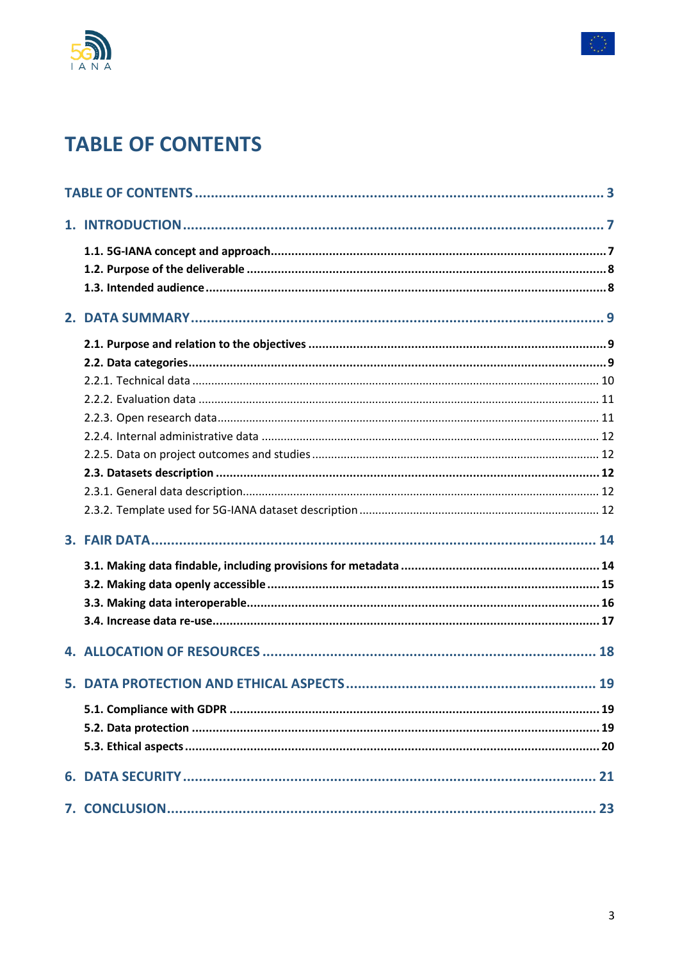



# <span id="page-2-0"></span>**TABLE OF CONTENTS**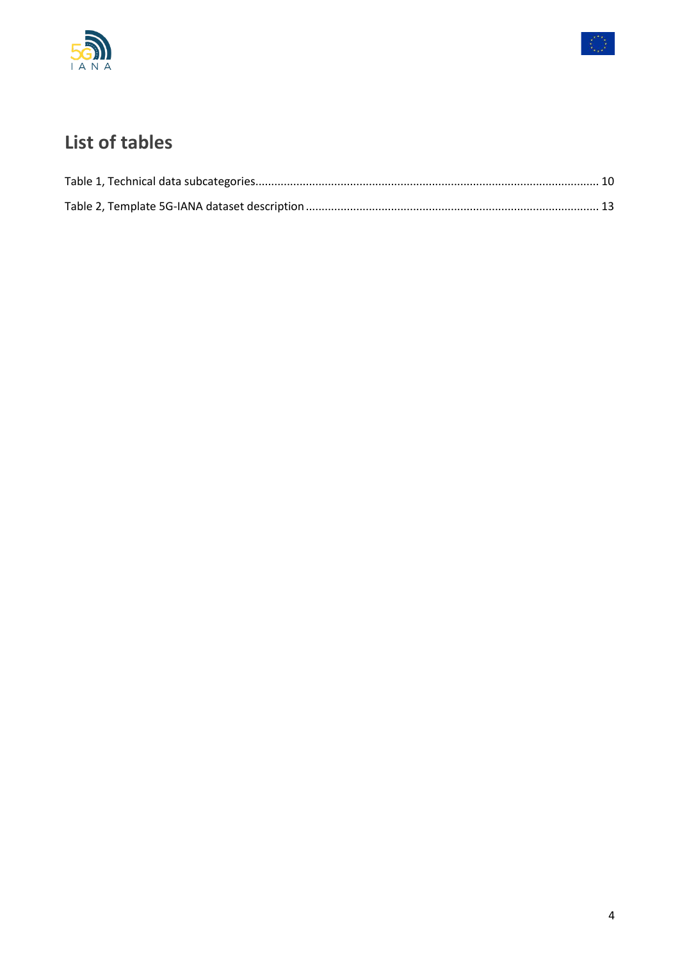



# List of tables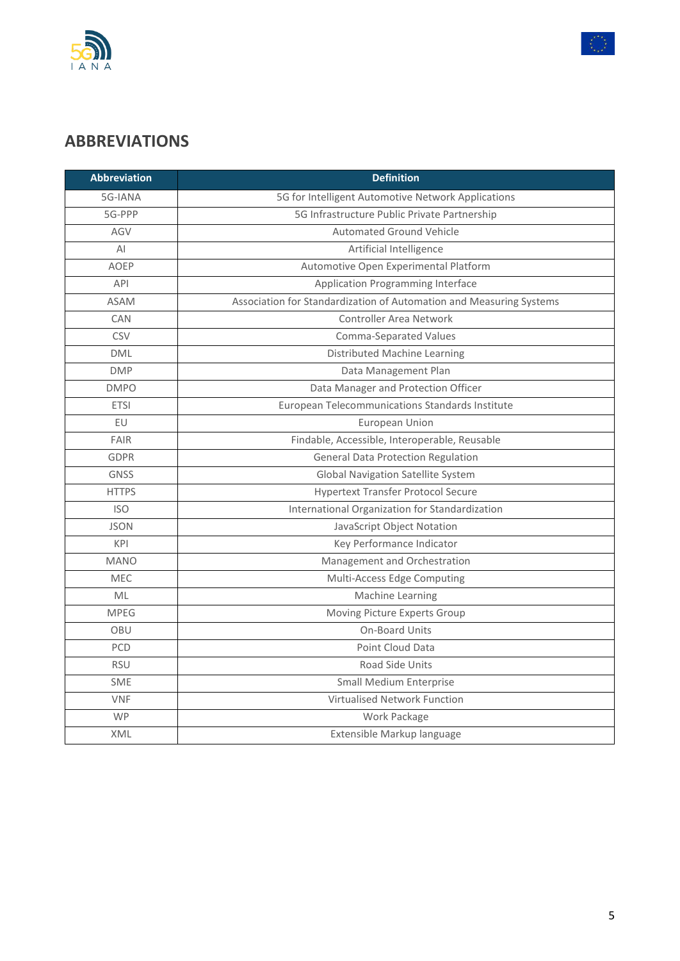



# **ABBREVIATIONS**

| <b>Abbreviation</b> | <b>Definition</b>                                                   |
|---------------------|---------------------------------------------------------------------|
| 5G-IANA             | 5G for Intelligent Automotive Network Applications                  |
| 5G-PPP              | 5G Infrastructure Public Private Partnership                        |
| AGV                 | <b>Automated Ground Vehicle</b>                                     |
| AI                  | Artificial Intelligence                                             |
| <b>AOEP</b>         | Automotive Open Experimental Platform                               |
| API                 | Application Programming Interface                                   |
| <b>ASAM</b>         | Association for Standardization of Automation and Measuring Systems |
| CAN                 | Controller Area Network                                             |
| <b>CSV</b>          | Comma-Separated Values                                              |
| <b>DML</b>          | Distributed Machine Learning                                        |
| <b>DMP</b>          | Data Management Plan                                                |
| <b>DMPO</b>         | Data Manager and Protection Officer                                 |
| <b>ETSI</b>         | European Telecommunications Standards Institute                     |
| EU                  | European Union                                                      |
| <b>FAIR</b>         | Findable, Accessible, Interoperable, Reusable                       |
| <b>GDPR</b>         | <b>General Data Protection Regulation</b>                           |
| <b>GNSS</b>         | <b>Global Navigation Satellite System</b>                           |
| <b>HTTPS</b>        | <b>Hypertext Transfer Protocol Secure</b>                           |
| <b>ISO</b>          | International Organization for Standardization                      |
| <b>JSON</b>         | JavaScript Object Notation                                          |
| KPI                 | Key Performance Indicator                                           |
| <b>MANO</b>         | Management and Orchestration                                        |
| MEC                 | Multi-Access Edge Computing                                         |
| ML                  | Machine Learning                                                    |
| <b>MPEG</b>         | Moving Picture Experts Group                                        |
| OBU                 | On-Board Units                                                      |
| PCD                 | Point Cloud Data                                                    |
| <b>RSU</b>          | Road Side Units                                                     |
| <b>SME</b>          | <b>Small Medium Enterprise</b>                                      |
| <b>VNF</b>          | Virtualised Network Function                                        |
| <b>WP</b>           | Work Package                                                        |
| XML                 | Extensible Markup language                                          |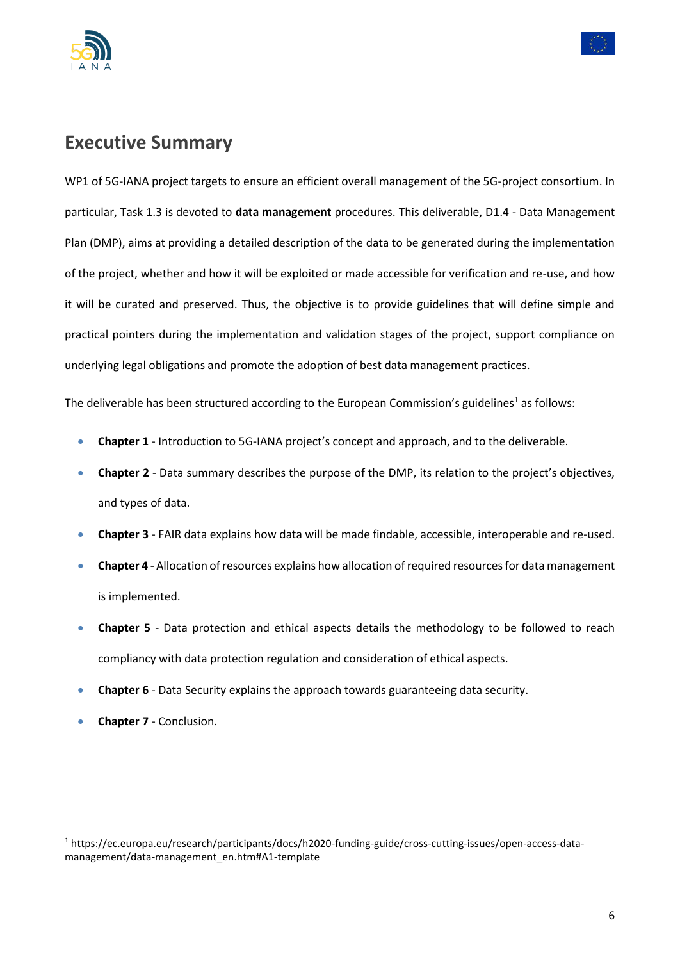



# **Executive Summary**

WP1 of 5G-IANA project targets to ensure an efficient overall management of the 5G-project consortium. In particular, Task 1.3 is devoted to **data management** procedures. This deliverable, D1.4 - Data Management Plan (DMP), aims at providing a detailed description of the data to be generated during the implementation of the project, whether and how it will be exploited or made accessible for verification and re-use, and how it will be curated and preserved. Thus, the objective is to provide guidelines that will define simple and practical pointers during the implementation and validation stages of the project, support compliance on underlying legal obligations and promote the adoption of best data management practices.

The deliverable has been structured according to the European Commission's guidelines<sup>1</sup> as follows:

- **Chapter 1**  Introduction to 5G-IANA project's concept and approach, and to the deliverable.
- **Chapter 2**  Data summary describes the purpose of the DMP, its relation to the project's objectives, and types of data.
- **Chapter 3**  FAIR data explains how data will be made findable, accessible, interoperable and re-used.
- **Chapter 4**  Allocation of resources explains how allocation of required resources for data management is implemented.
- **Chapter 5**  Data protection and ethical aspects details the methodology to be followed to reach compliancy with data protection regulation and consideration of ethical aspects.
- **Chapter 6**  Data Security explains the approach towards guaranteeing data security.
- **Chapter 7**  Conclusion.

<sup>1</sup> [https://ec.europa.eu/research/participants/docs/h2020-funding-guide/cross-cutting-issues/open-access-data](https://ec.europa.eu/research/participants/docs/h2020-funding-guide/cross-cutting-issues/open-access-data-management/data-management_en.htm#A1-template)[management/data-management\\_en.htm#A1-template](https://ec.europa.eu/research/participants/docs/h2020-funding-guide/cross-cutting-issues/open-access-data-management/data-management_en.htm#A1-template)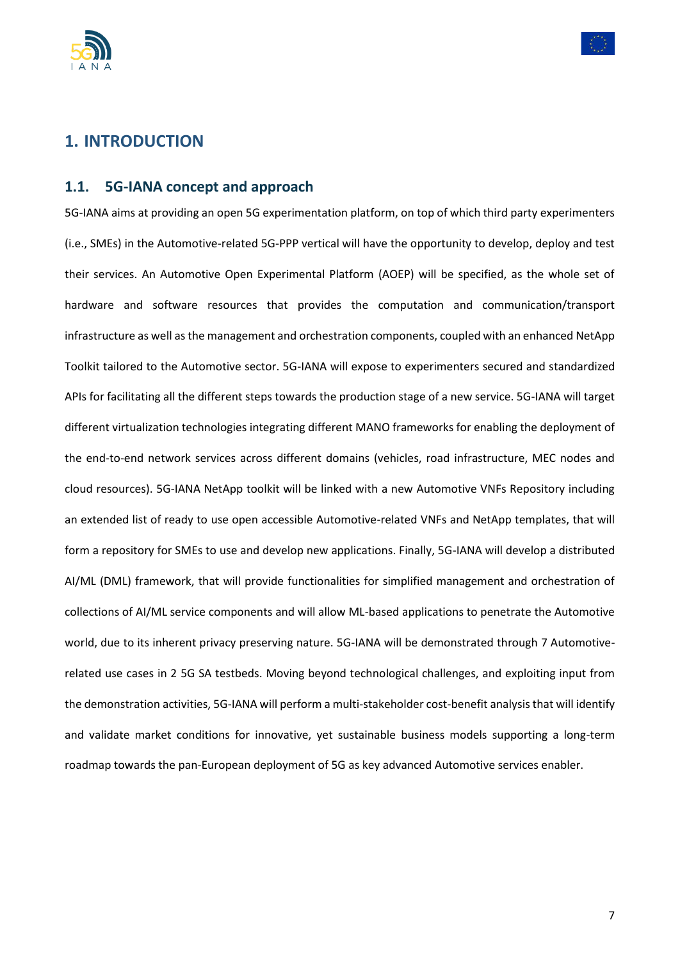



### <span id="page-6-0"></span>**1. INTRODUCTION**

#### <span id="page-6-1"></span>**1.1. 5G-IANA concept and approach**

5G-IANA aims at providing an open 5G experimentation platform, on top of which third party experimenters (i.e., SMEs) in the Automotive-related 5G-PPP vertical will have the opportunity to develop, deploy and test their services. An Automotive Open Experimental Platform (AOEP) will be specified, as the whole set of hardware and software resources that provides the computation and communication/transport infrastructure as well as the management and orchestration components, coupled with an enhanced NetApp Toolkit tailored to the Automotive sector. 5G-IANA will expose to experimenters secured and standardized APIs for facilitating all the different steps towards the production stage of a new service. 5G-IANA will target different virtualization technologies integrating different MANO frameworks for enabling the deployment of the end-to-end network services across different domains (vehicles, road infrastructure, MEC nodes and cloud resources). 5G-IANA NetApp toolkit will be linked with a new Automotive VNFs Repository including an extended list of ready to use open accessible Automotive-related VNFs and NetApp templates, that will form a repository for SMEs to use and develop new applications. Finally, 5G-IANA will develop a distributed AI/ML (DML) framework, that will provide functionalities for simplified management and orchestration of collections of AI/ML service components and will allow ML-based applications to penetrate the Automotive world, due to its inherent privacy preserving nature. 5G-IANA will be demonstrated through 7 Automotiverelated use cases in 2 5G SA testbeds. Moving beyond technological challenges, and exploiting input from the demonstration activities, 5G-IANA will perform a multi-stakeholder cost-benefit analysis that will identify and validate market conditions for innovative, yet sustainable business models supporting a long-term roadmap towards the pan-European deployment of 5G as key advanced Automotive services enabler.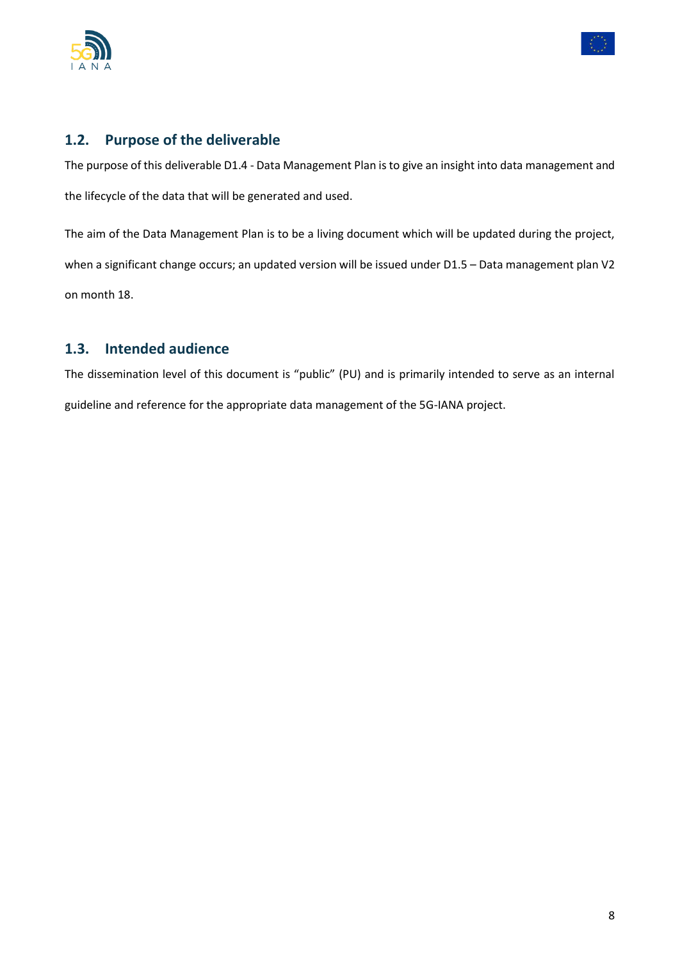



#### <span id="page-7-0"></span>**1.2. Purpose of the deliverable**

The purpose of this deliverable D1.4 - Data Management Plan is to give an insight into data management and the lifecycle of the data that will be generated and used.

The aim of the Data Management Plan is to be a living document which will be updated during the project, when a significant change occurs; an updated version will be issued under D1.5 - Data management plan V2 on month 18.

#### <span id="page-7-1"></span>**1.3. Intended audience**

The dissemination level of this document is "public" (PU) and is primarily intended to serve as an internal guideline and reference for the appropriate data management of the 5G-IANA project.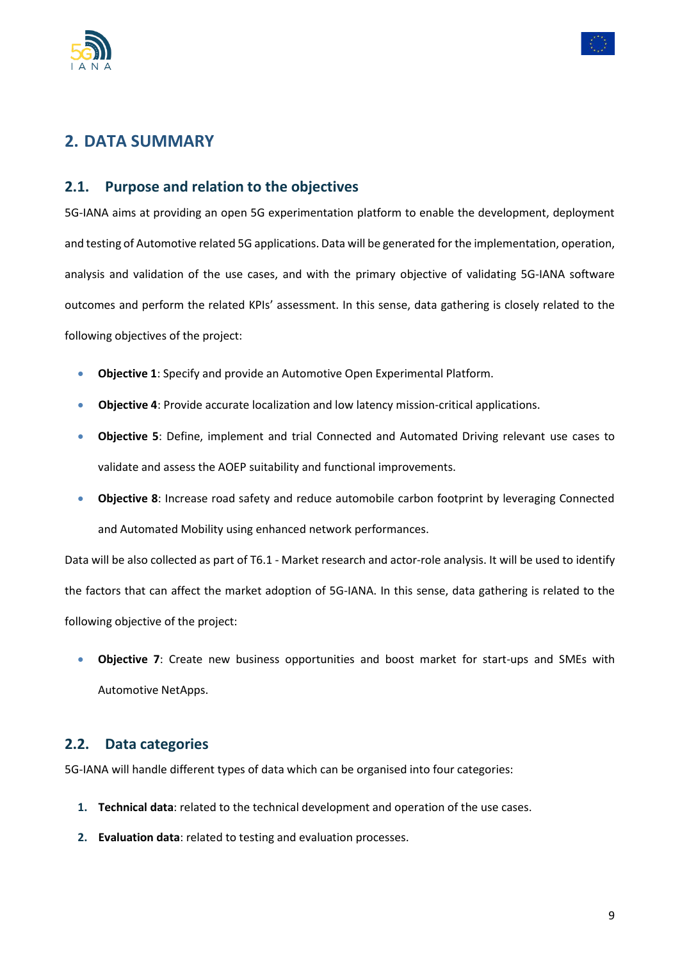



### <span id="page-8-0"></span>**2. DATA SUMMARY**

#### <span id="page-8-1"></span>**2.1. Purpose and relation to the objectives**

5G-IANA aims at providing an open 5G experimentation platform to enable the development, deployment and testing of Automotive related 5G applications. Data will be generated for the implementation, operation, analysis and validation of the use cases, and with the primary objective of validating 5G-IANA software outcomes and perform the related KPIs' assessment. In this sense, data gathering is closely related to the following objectives of the project:

- **Objective 1**: Specify and provide an Automotive Open Experimental Platform.
- **Objective 4**: Provide accurate localization and low latency mission-critical applications.
- **Objective 5**: Define, implement and trial Connected and Automated Driving relevant use cases to validate and assess the AOEP suitability and functional improvements.
- **Objective 8**: Increase road safety and reduce automobile carbon footprint by leveraging Connected and Automated Mobility using enhanced network performances.

Data will be also collected as part of T6.1 - Market research and actor-role analysis. It will be used to identify the factors that can affect the market adoption of 5G-IANA. In this sense, data gathering is related to the following objective of the project:

• **Objective 7**: Create new business opportunities and boost market for start-ups and SMEs with Automotive NetApps.

#### <span id="page-8-2"></span>**2.2. Data categories**

5G-IANA will handle different types of data which can be organised into four categories:

- **1. Technical data**: related to the technical development and operation of the use cases.
- **2. Evaluation data**: related to testing and evaluation processes.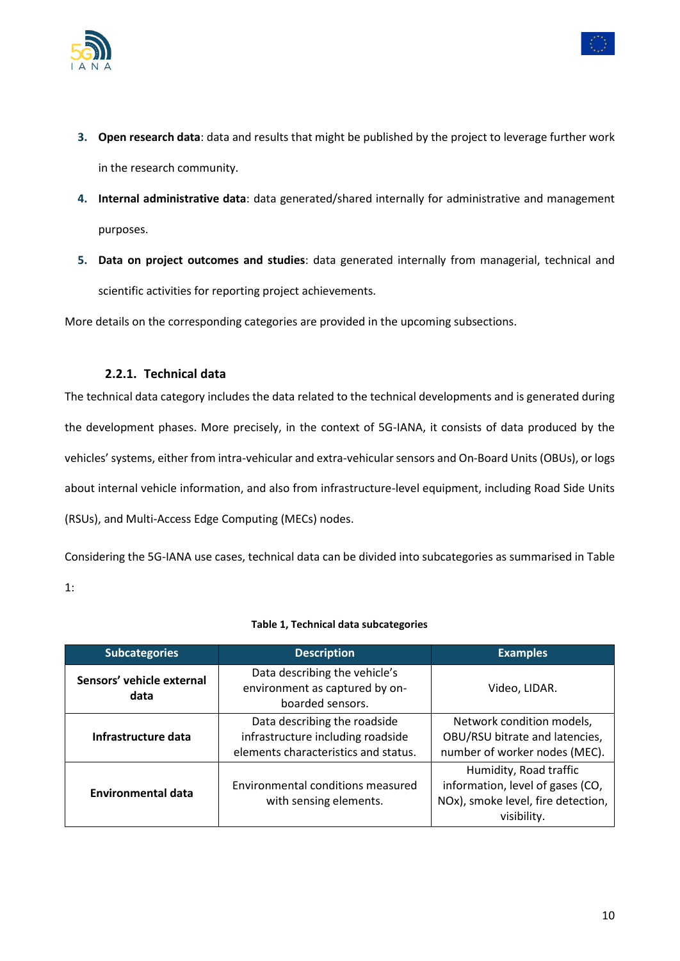



- **4. Internal administrative data**: data generated/shared internally for administrative and management purposes.
- **5. Data on project outcomes and studies**: data generated internally from managerial, technical and scientific activities for reporting project achievements.

<span id="page-9-0"></span>More details on the corresponding categories are provided in the upcoming subsections.

#### **2.2.1. Technical data**

The technical data category includes the data related to the technical developments and is generated during the development phases. More precisely, in the context of 5G-IANA, it consists of data produced by the vehicles' systems, either from intra-vehicular and extra-vehicular sensors and On-Board Units (OBUs), or logs about internal vehicle information, and also from infrastructure-level equipment, including Road Side Units (RSUs), and Multi-Access Edge Computing (MECs) nodes.

Considering the 5G-IANA use cases, technical data can be divided into subcategories as summarised in Table 1:

<span id="page-9-1"></span>

| <b>Subcategories</b>              | <b>Description</b>                                                                                        | <b>Examples</b>                                                                                                 |
|-----------------------------------|-----------------------------------------------------------------------------------------------------------|-----------------------------------------------------------------------------------------------------------------|
| Sensors' vehicle external<br>data | Data describing the vehicle's<br>environment as captured by on-<br>boarded sensors.                       | Video, LIDAR.                                                                                                   |
| Infrastructure data               | Data describing the roadside<br>infrastructure including roadside<br>elements characteristics and status. | Network condition models,<br>OBU/RSU bitrate and latencies,<br>number of worker nodes (MEC).                    |
| <b>Environmental data</b>         | Environmental conditions measured<br>with sensing elements.                                               | Humidity, Road traffic<br>information, level of gases (CO,<br>NOx), smoke level, fire detection,<br>visibility. |

#### **Table 1, Technical data subcategories**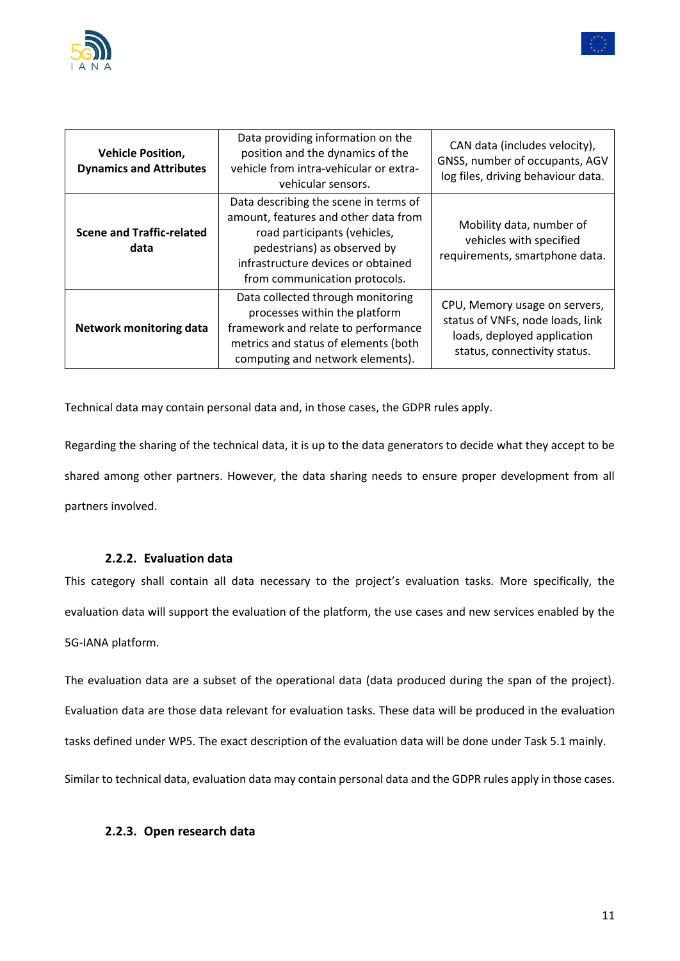



| <b>Vehicle Position,</b><br><b>Dynamics and Attributes</b> | Data providing information on the<br>position and the dynamics of the<br>vehicle from intra-vehicular or extra-<br>vehicular sensors.                                                                               | CAN data (includes velocity),<br>GNSS, number of occupants, AGV<br>log files, driving behaviour data.                            |
|------------------------------------------------------------|---------------------------------------------------------------------------------------------------------------------------------------------------------------------------------------------------------------------|----------------------------------------------------------------------------------------------------------------------------------|
| <b>Scene and Traffic-related</b><br>data                   | Data describing the scene in terms of<br>amount, features and other data from<br>road participants (vehicles,<br>pedestrians) as observed by<br>infrastructure devices or obtained<br>from communication protocols. | Mobility data, number of<br>vehicles with specified<br>requirements, smartphone data.                                            |
| <b>Network monitoring data</b>                             | Data collected through monitoring<br>processes within the platform<br>framework and relate to performance<br>metrics and status of elements (both<br>computing and network elements).                               | CPU, Memory usage on servers,<br>status of VNFs, node loads, link<br>loads, deployed application<br>status, connectivity status. |

Technical data may contain personal data and, in those cases, the GDPR rules apply.

Regarding the sharing of the technical data, it is up to the data generators to decide what they accept to be shared among other partners. However, the data sharing needs to ensure proper development from all partners involved.

#### **2.2.2. Evaluation data**

<span id="page-10-0"></span>This category shall contain all data necessary to the project's evaluation tasks. More specifically, the evaluation data will support the evaluation of the platform, the use cases and new services enabled by the 5G-IANA platform.

The evaluation data are a subset of the operational data (data produced during the span of the project). Evaluation data are those data relevant for evaluation tasks. These data will be produced in the evaluation tasks defined under WP5. The exact description of the evaluation data will be done under Task 5.1 mainly.

# <span id="page-10-1"></span>Similar to technical data, evaluation data may contain personal data and the GDPR rules apply in those cases.

#### **2.2.3. Open research data**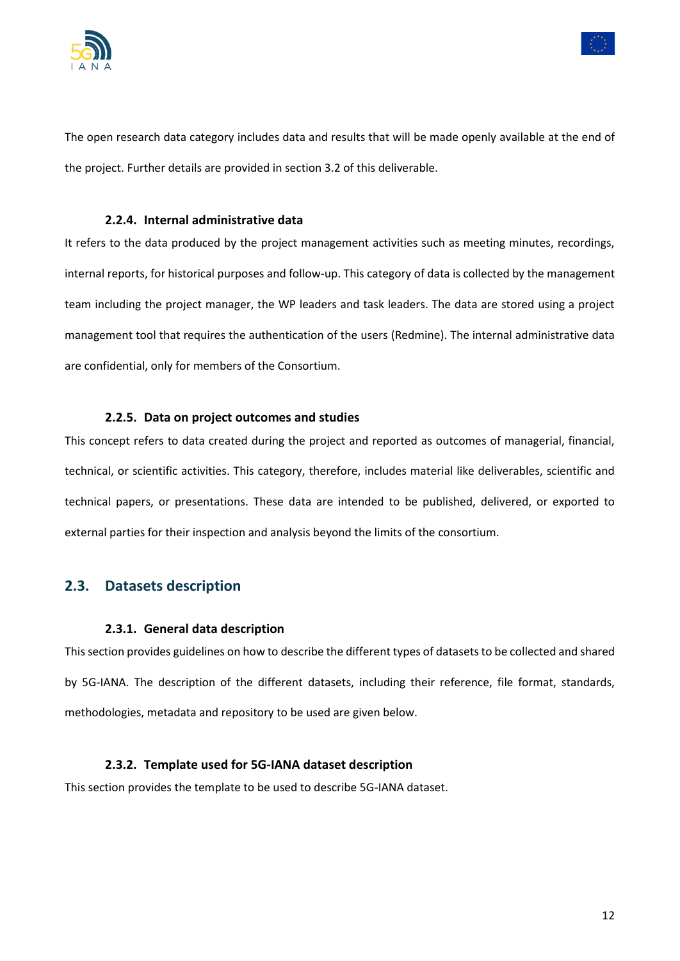



The open research data category includes data and results that will be made openly available at the end of the project. Further details are provided in section 3.2 of this deliverable.

#### **2.2.4. Internal administrative data**

<span id="page-11-0"></span>It refers to the data produced by the project management activities such as meeting minutes, recordings, internal reports, for historical purposes and follow-up. This category of data is collected by the management team including the project manager, the WP leaders and task leaders. The data are stored using a project management tool that requires the authentication of the users (Redmine). The internal administrative data are confidential, only for members of the Consortium.

#### **2.2.5. Data on project outcomes and studies**

<span id="page-11-1"></span>This concept refers to data created during the project and reported as outcomes of managerial, financial, technical, or scientific activities. This category, therefore, includes material like deliverables, scientific and technical papers, or presentations. These data are intended to be published, delivered, or exported to external parties for their inspection and analysis beyond the limits of the consortium.

#### <span id="page-11-3"></span><span id="page-11-2"></span>**2.3. Datasets description**

#### **2.3.1. General data description**

This section provides guidelines on how to describe the different types of datasets to be collected and shared by 5G-IANA. The description of the different datasets, including their reference, file format, standards, methodologies, metadata and repository to be used are given below.

#### **2.3.2. Template used for 5G-IANA dataset description**

<span id="page-11-4"></span>This section provides the template to be used to describe 5G-IANA dataset.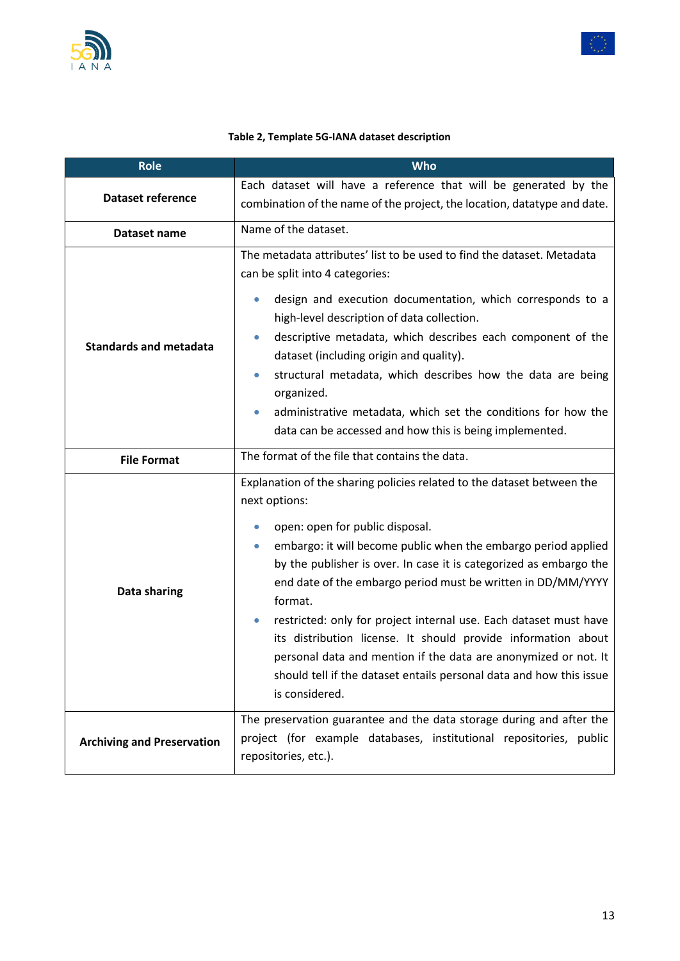



#### **Table 2, Template 5G-IANA dataset description**

<span id="page-12-0"></span>

| <b>Role</b>                       | <b>Who</b>                                                                                                                                                                                                                                                                                                                                                                                                                                                                                                                                                                                                                                      |  |
|-----------------------------------|-------------------------------------------------------------------------------------------------------------------------------------------------------------------------------------------------------------------------------------------------------------------------------------------------------------------------------------------------------------------------------------------------------------------------------------------------------------------------------------------------------------------------------------------------------------------------------------------------------------------------------------------------|--|
| <b>Dataset reference</b>          | Each dataset will have a reference that will be generated by the<br>combination of the name of the project, the location, datatype and date.                                                                                                                                                                                                                                                                                                                                                                                                                                                                                                    |  |
| Dataset name                      | Name of the dataset.                                                                                                                                                                                                                                                                                                                                                                                                                                                                                                                                                                                                                            |  |
| <b>Standards and metadata</b>     | The metadata attributes' list to be used to find the dataset. Metadata<br>can be split into 4 categories:<br>design and execution documentation, which corresponds to a<br>high-level description of data collection.<br>descriptive metadata, which describes each component of the<br>$\bullet$<br>dataset (including origin and quality).<br>structural metadata, which describes how the data are being<br>$\bullet$<br>organized.<br>administrative metadata, which set the conditions for how the<br>$\bullet$<br>data can be accessed and how this is being implemented.                                                                 |  |
| <b>File Format</b>                | The format of the file that contains the data.                                                                                                                                                                                                                                                                                                                                                                                                                                                                                                                                                                                                  |  |
| Data sharing                      | Explanation of the sharing policies related to the dataset between the<br>next options:<br>open: open for public disposal.<br>embargo: it will become public when the embargo period applied<br>by the publisher is over. In case it is categorized as embargo the<br>end date of the embargo period must be written in DD/MM/YYYY<br>format.<br>restricted: only for project internal use. Each dataset must have<br>its distribution license. It should provide information about<br>personal data and mention if the data are anonymized or not. It<br>should tell if the dataset entails personal data and how this issue<br>is considered. |  |
| <b>Archiving and Preservation</b> | The preservation guarantee and the data storage during and after the<br>project (for example databases, institutional repositories, public<br>repositories, etc.).                                                                                                                                                                                                                                                                                                                                                                                                                                                                              |  |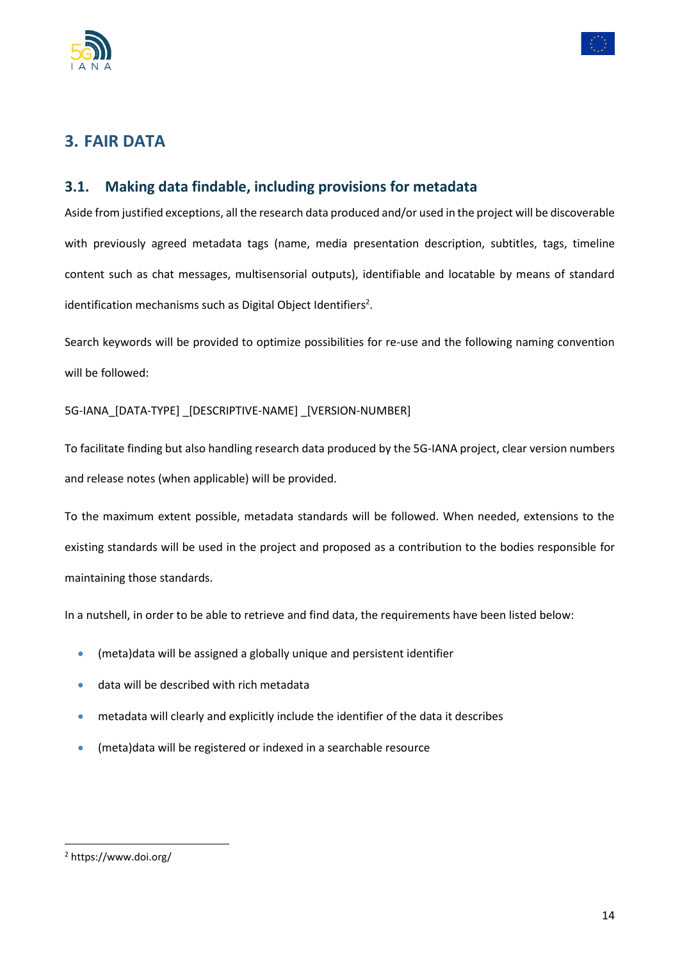



# <span id="page-13-0"></span>**3. FAIR DATA**

### <span id="page-13-1"></span>**3.1. Making data findable, including provisions for metadata**

Aside from justified exceptions, all the research data produced and/or used in the project will be discoverable with previously agreed metadata tags (name, media presentation description, subtitles, tags, timeline content such as chat messages, multisensorial outputs), identifiable and locatable by means of standard identification mechanisms such as Digital Object Identifiers<sup>2</sup>.

Search keywords will be provided to optimize possibilities for re-use and the following naming convention will be followed:

#### 5G-IANA\_[DATA-TYPE] \_[DESCRIPTIVE-NAME] \_[VERSION-NUMBER]

To facilitate finding but also handling research data produced by the 5G-IANA project, clear version numbers and release notes (when applicable) will be provided.

To the maximum extent possible, metadata standards will be followed. When needed, extensions to the existing standards will be used in the project and proposed as a contribution to the bodies responsible for maintaining those standards.

In a nutshell, in order to be able to retrieve and find data, the requirements have been listed below:

- (meta)data will be assigned a globally unique and persistent identifier
- data will be described with rich metadata
- metadata will clearly and explicitly include the identifier of the data it describes
- (meta)data will be registered or indexed in a searchable resource

<sup>2</sup> <https://www.doi.org/>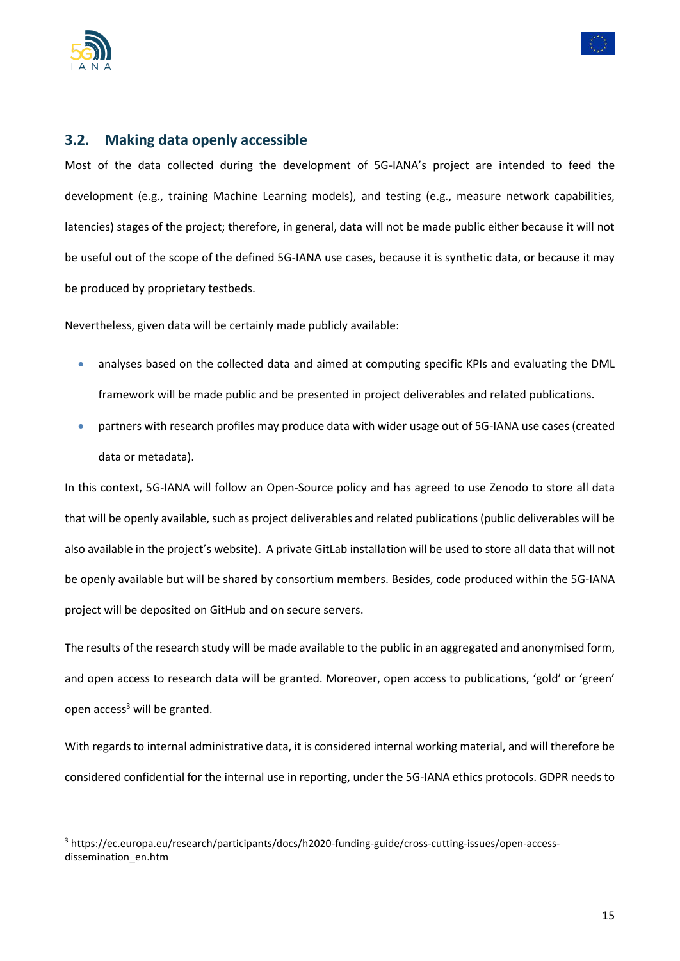



#### <span id="page-14-0"></span>**3.2. Making data openly accessible**

Most of the data collected during the development of 5G-IANA's project are intended to feed the development (e.g., training Machine Learning models), and testing (e.g., measure network capabilities, latencies) stages of the project; therefore, in general, data will not be made public either because it will not be useful out of the scope of the defined 5G-IANA use cases, because it is synthetic data, or because it may be produced by proprietary testbeds.

Nevertheless, given data will be certainly made publicly available:

- analyses based on the collected data and aimed at computing specific KPIs and evaluating the DML framework will be made public and be presented in project deliverables and related publications.
- partners with research profiles may produce data with wider usage out of 5G-IANA use cases (created data or metadata).

In this context, 5G-IANA will follow an Open-Source policy and has agreed to use Zenodo to store all data that will be openly available, such as project deliverables and related publications (public deliverables will be also available in the project's website). A private GitLab installation will be used to store all data that will not be openly available but will be shared by consortium members. Besides, code produced within the 5G-IANA project will be deposited on GitHub and on secure servers.

The results of the research study will be made available to the public in an aggregated and anonymised form, and open access to research data will be granted. Moreover, open access to publications, 'gold' or 'green' open  $access<sup>3</sup>$  will be granted.

With regards to internal administrative data, it is considered internal working material, and will therefore be considered confidential for the internal use in reporting, under the 5G-IANA ethics protocols. GDPR needs to

<sup>3</sup> https://ec.europa.eu/research/participants/docs/h2020-funding-guide/cross-cutting-issues/open-accessdissemination\_en.htm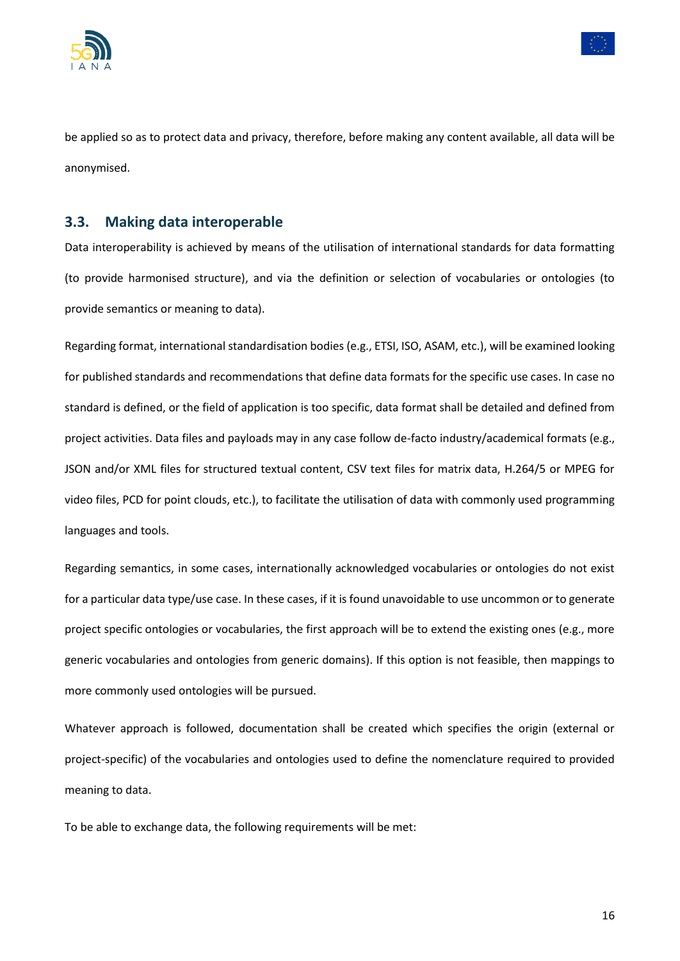



be applied so as to protect data and privacy, therefore, before making any content available, all data will be anonymised.

#### <span id="page-15-0"></span>**3.3. Making data interoperable**

Data interoperability is achieved by means of the utilisation of international standards for data formatting (to provide harmonised structure), and via the definition or selection of vocabularies or ontologies (to provide semantics or meaning to data).

Regarding format, international standardisation bodies (e.g., ETSI, ISO, ASAM, etc.), will be examined looking for published standards and recommendations that define data formats for the specific use cases. In case no standard is defined, or the field of application is too specific, data format shall be detailed and defined from project activities. Data files and payloads may in any case follow de-facto industry/academical formats (e.g., JSON and/or XML files for structured textual content, CSV text files for matrix data, H.264/5 or MPEG for video files, PCD for point clouds, etc.), to facilitate the utilisation of data with commonly used programming languages and tools.

Regarding semantics, in some cases, internationally acknowledged vocabularies or ontologies do not exist for a particular data type/use case. In these cases, if it is found unavoidable to use uncommon or to generate project specific ontologies or vocabularies, the first approach will be to extend the existing ones (e.g., more generic vocabularies and ontologies from generic domains). If this option is not feasible, then mappings to more commonly used ontologies will be pursued.

Whatever approach is followed, documentation shall be created which specifies the origin (external or project-specific) of the vocabularies and ontologies used to define the nomenclature required to provided meaning to data.

To be able to exchange data, the following requirements will be met: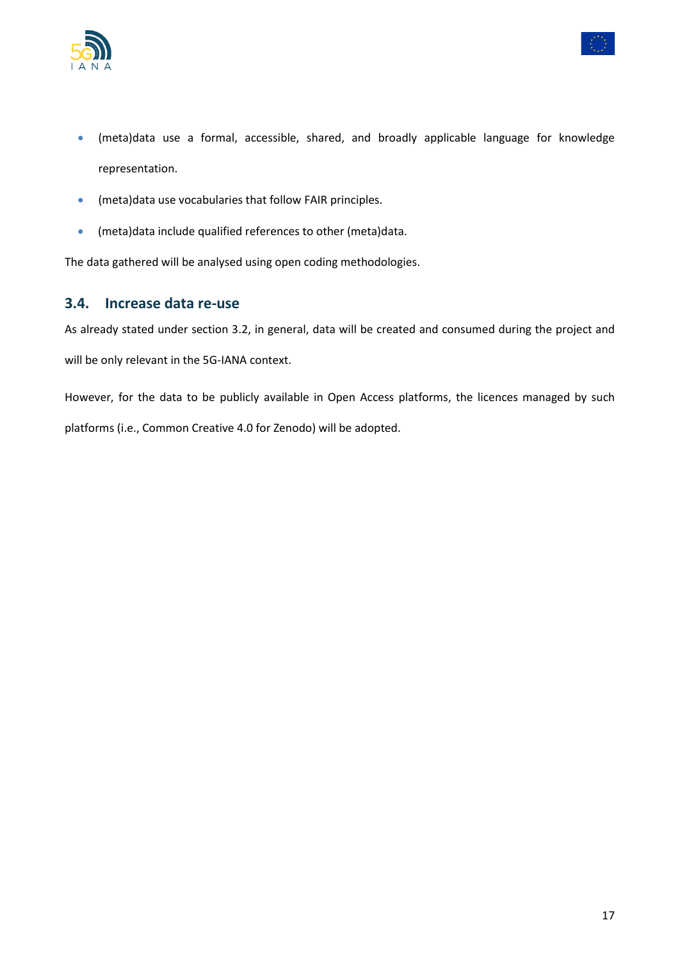



- (meta)data use a formal, accessible, shared, and broadly applicable language for knowledge representation.
- (meta)data use vocabularies that follow FAIR principles.
- (meta)data include qualified references to other (meta)data.

The data gathered will be analysed using open coding methodologies.

#### <span id="page-16-0"></span>**3.4. Increase data re-use**

As already stated under section 3.2, in general, data will be created and consumed during the project and will be only relevant in the 5G-IANA context.

However, for the data to be publicly available in Open Access platforms, the licences managed by such platforms (i.e., Common Creative 4.0 for Zenodo) will be adopted.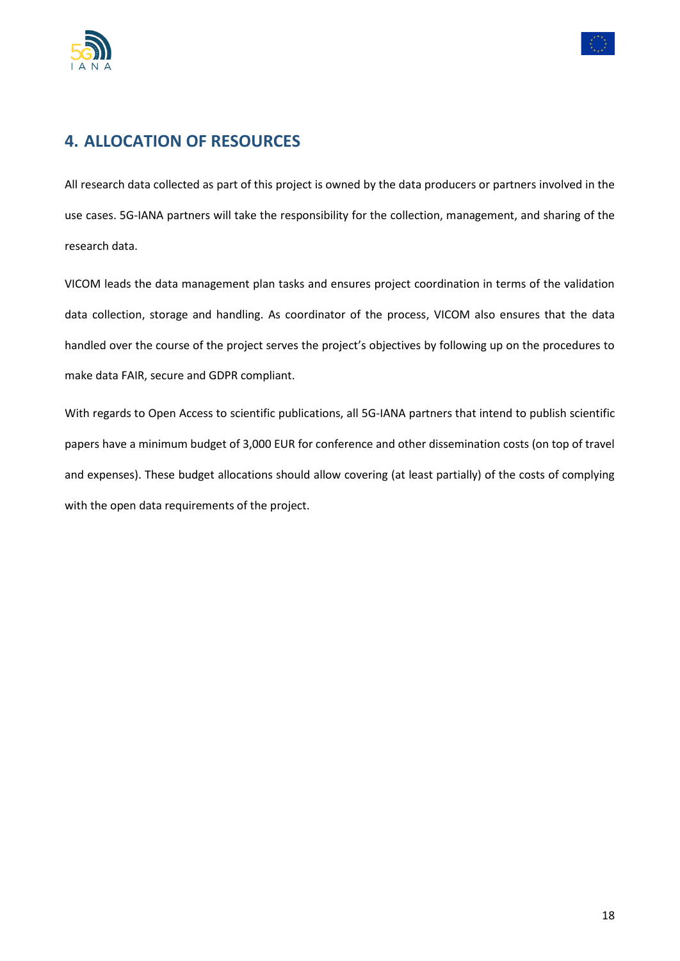



## <span id="page-17-0"></span>**4. ALLOCATION OF RESOURCES**

All research data collected as part of this project is owned by the data producers or partners involved in the use cases. 5G-IANA partners will take the responsibility for the collection, management, and sharing of the research data.

VICOM leads the data management plan tasks and ensures project coordination in terms of the validation data collection, storage and handling. As coordinator of the process, VICOM also ensures that the data handled over the course of the project serves the project's objectives by following up on the procedures to make data FAIR, secure and GDPR compliant.

With regards to Open Access to scientific publications, all 5G-IANA partners that intend to publish scientific papers have a minimum budget of 3,000 EUR for conference and other dissemination costs (on top of travel and expenses). These budget allocations should allow covering (at least partially) of the costs of complying with the open data requirements of the project.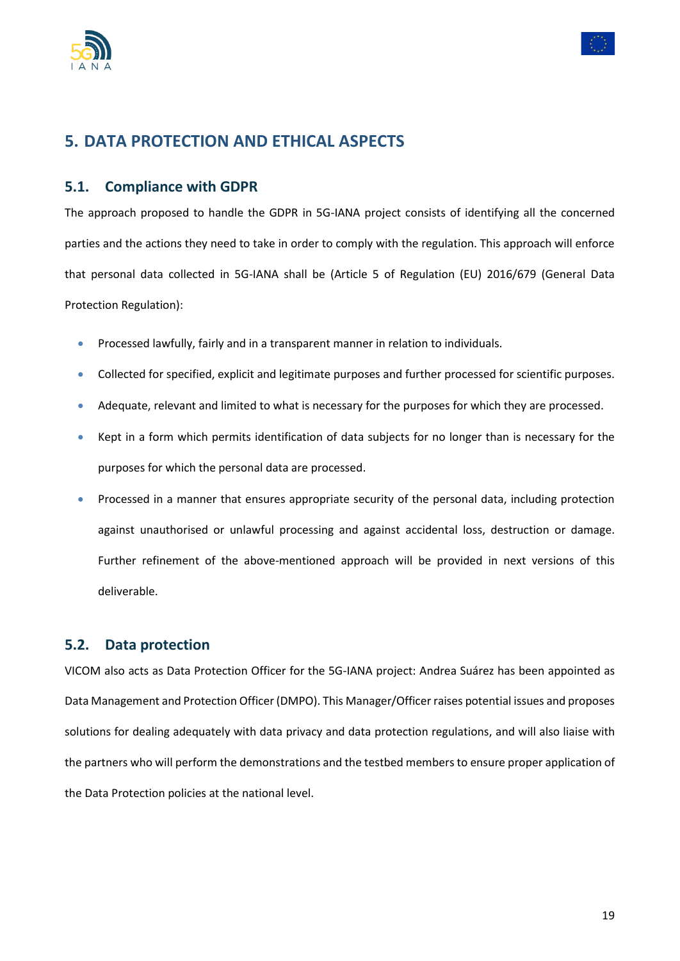



## <span id="page-18-0"></span>**5. DATA PROTECTION AND ETHICAL ASPECTS**

#### <span id="page-18-1"></span>**5.1. Compliance with GDPR**

The approach proposed to handle the GDPR in 5G-IANA project consists of identifying all the concerned parties and the actions they need to take in order to comply with the regulation. This approach will enforce that personal data collected in 5G-IANA shall be (Article 5 of Regulation (EU) 2016/679 (General Data Protection Regulation):

- Processed lawfully, fairly and in a transparent manner in relation to individuals.
- Collected for specified, explicit and legitimate purposes and further processed for scientific purposes.
- Adequate, relevant and limited to what is necessary for the purposes for which they are processed.
- Kept in a form which permits identification of data subjects for no longer than is necessary for the purposes for which the personal data are processed.
- Processed in a manner that ensures appropriate security of the personal data, including protection against unauthorised or unlawful processing and against accidental loss, destruction or damage. Further refinement of the above-mentioned approach will be provided in next versions of this deliverable.

#### <span id="page-18-2"></span>**5.2. Data protection**

VICOM also acts as Data Protection Officer for the 5G-IANA project: Andrea Suárez has been appointed as Data Management and Protection Officer (DMPO). This Manager/Officer raises potential issues and proposes solutions for dealing adequately with data privacy and data protection regulations, and will also liaise with the partners who will perform the demonstrations and the testbed members to ensure proper application of the Data Protection policies at the national level.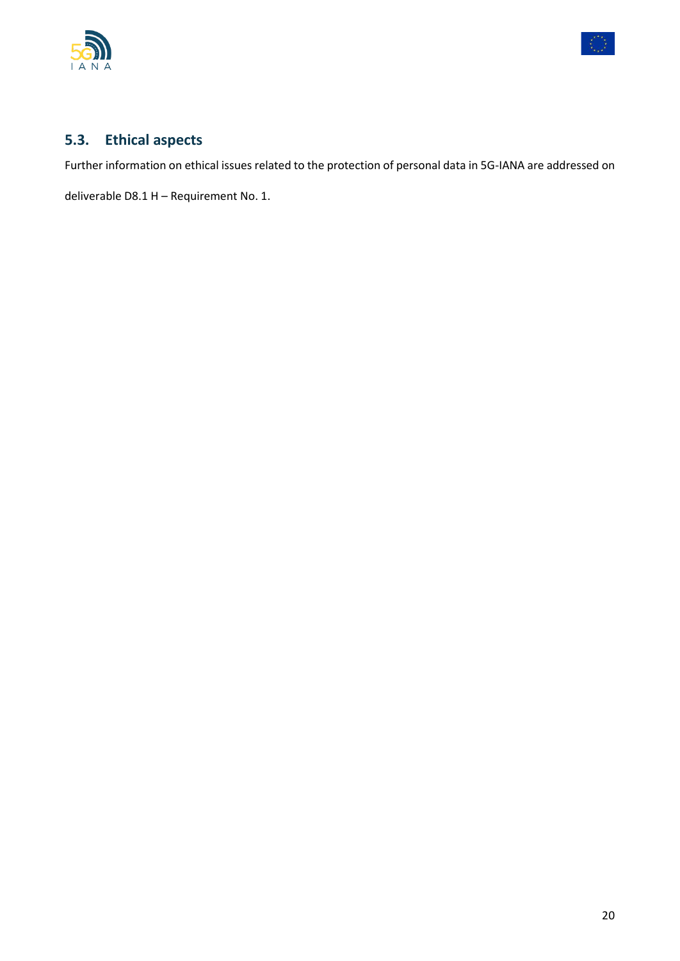



### <span id="page-19-0"></span>**5.3. Ethical aspects**

Further information on ethical issues related to the protection of personal data in 5G-IANA are addressed on

deliverable D8.1 H – Requirement No. 1.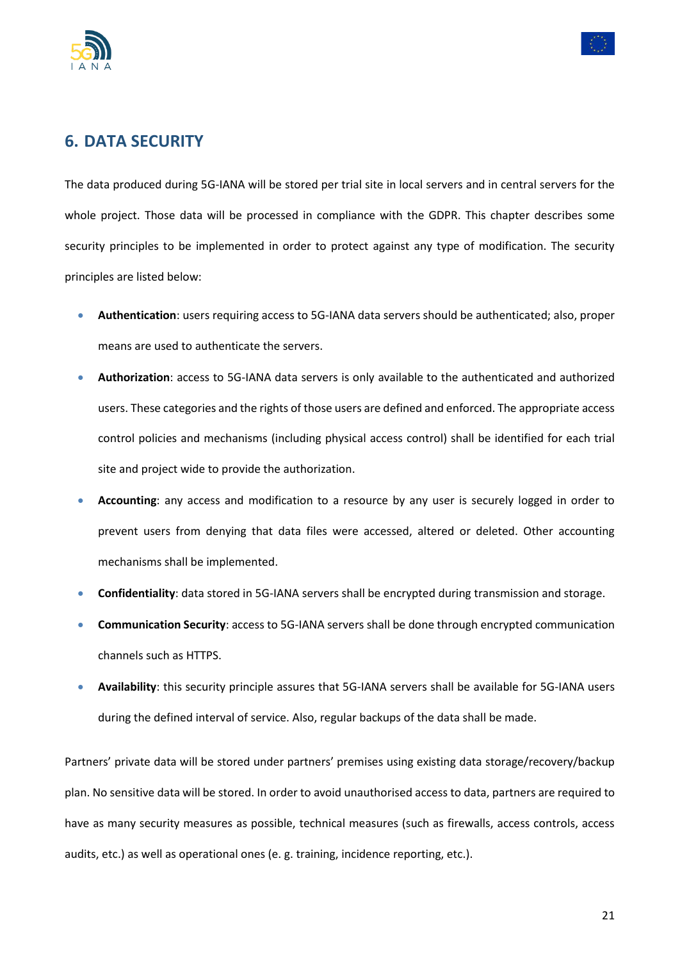



### <span id="page-20-0"></span>**6. DATA SECURITY**

The data produced during 5G-IANA will be stored per trial site in local servers and in central servers for the whole project. Those data will be processed in compliance with the GDPR. This chapter describes some security principles to be implemented in order to protect against any type of modification. The security principles are listed below:

- **Authentication**: users requiring access to 5G-IANA data servers should be authenticated; also, proper means are used to authenticate the servers.
- **Authorization**: access to 5G-IANA data servers is only available to the authenticated and authorized users. These categories and the rights of those users are defined and enforced. The appropriate access control policies and mechanisms (including physical access control) shall be identified for each trial site and project wide to provide the authorization.
- **Accounting**: any access and modification to a resource by any user is securely logged in order to prevent users from denying that data files were accessed, altered or deleted. Other accounting mechanisms shall be implemented.
- **Confidentiality**: data stored in 5G-IANA servers shall be encrypted during transmission and storage.
- **Communication Security**: access to 5G-IANA servers shall be done through encrypted communication channels such as HTTPS.
- **Availability**: this security principle assures that 5G-IANA servers shall be available for 5G-IANA users during the defined interval of service. Also, regular backups of the data shall be made.

Partners' private data will be stored under partners' premises using existing data storage/recovery/backup plan. No sensitive data will be stored. In order to avoid unauthorised access to data, partners are required to have as many security measures as possible, technical measures (such as firewalls, access controls, access audits, etc.) as well as operational ones (e. g. training, incidence reporting, etc.).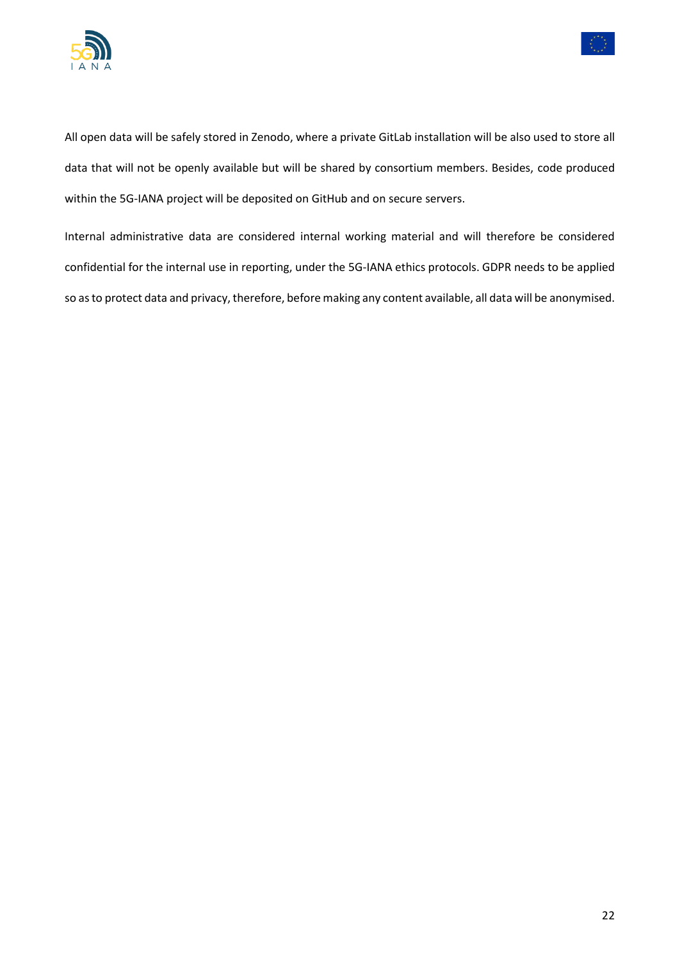



All open data will be safely stored in Zenodo, where a private GitLab installation will be also used to store all data that will not be openly available but will be shared by consortium members. Besides, code produced within the 5G-IANA project will be deposited on GitHub and on secure servers.

Internal administrative data are considered internal working material and will therefore be considered confidential for the internal use in reporting, under the 5G-IANA ethics protocols. GDPR needs to be applied so as to protect data and privacy, therefore, before making any content available, all data will be anonymised.